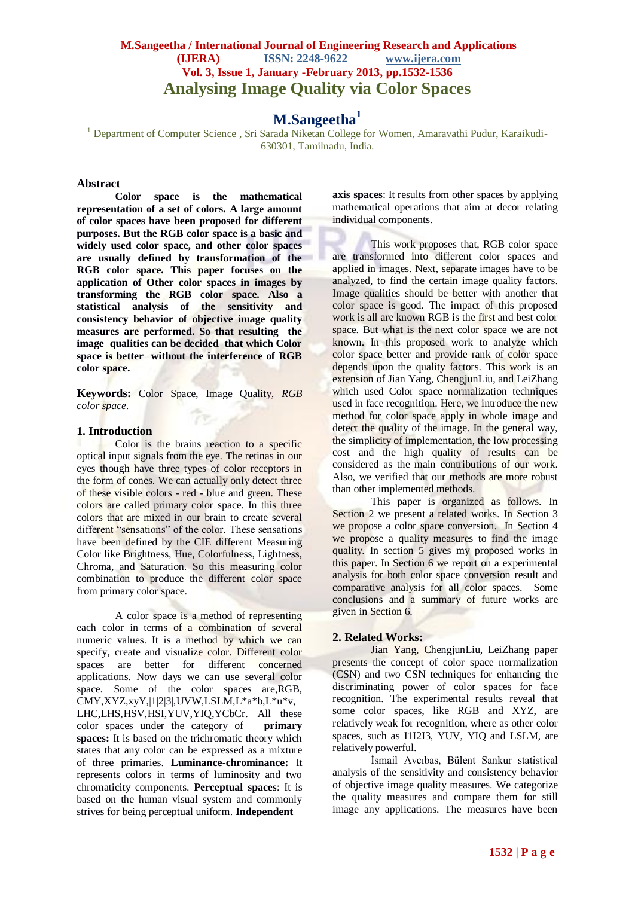## **M.Sangeetha / International Journal of Engineering Research and Applications (IJERA) ISSN: 2248-9622 www.ijera.com Vol. 3, Issue 1, January -February 2013, pp.1532-1536 Analysing Image Quality via Color Spaces**

## **M.Sangeetha<sup>1</sup>**

<sup>1</sup> Department of Computer Science, Sri Sarada Niketan College for Women, Amaravathi Pudur, Karaikudi-630301, Tamilnadu, India.

## **Abstract**

**Color space is the mathematical representation of a set of colors. A large amount of color spaces have been proposed for different purposes. But the RGB color space is a basic and widely used color space, and other color spaces are usually defined by transformation of the RGB color space. This paper focuses on the application of Other color spaces in images by transforming the RGB color space. Also a statistical analysis of the sensitivity and consistency behavior of objective image quality measures are performed. So that resulting the image qualities can be decided that which Color space is better without the interference of RGB color space.**

**Keywords:** Color Space, Image Quality*, RGB color space.*

#### **1. Introduction**

Color is the brains reaction to a specific optical input signals from the eye. The retinas in our eyes though have three types of color receptors in the form of cones. We can actually only detect three of these visible colors - red - blue and green. These colors are called primary color space. In this three colors that are mixed in our brain to create several different "sensations" of the color. These sensations have been defined by the CIE different Measuring Color like Brightness, Hue, Colorfulness, Lightness, Chroma, and Saturation. So this measuring color combination to produce the different color space from primary color space.

A color space is a method of representing each color in terms of a combination of several numeric values. It is a method by which we can specify, create and visualize color. Different color spaces are better for different concerned applications. Now days we can use several color space. Some of the color spaces are,RGB, CMY,XYZ,xyY,|1|2|3|,UVW,LSLM,L\*a\*b,L\*u\*v, LHC,LHS,HSV,HSI,YUV,YIQ,YCbCr. All these color spaces under the category of **primary spaces:** It is based on the trichromatic theory which states that any color can be expressed as a mixture of three primaries. **Luminance-chrominance:** It represents colors in terms of luminosity and two chromaticity components. **Perceptual spaces**: It is based on the human visual system and commonly strives for being perceptual uniform. **Independent** 

**axis spaces**: It results from other spaces by applying mathematical operations that aim at decor relating individual components.

This work proposes that, RGB color space are transformed into different color spaces and applied in images. Next, separate images have to be analyzed, to find the certain image quality factors. Image qualities should be better with another that color space is good. The impact of this proposed work is all are known RGB is the first and best color space. But what is the next color space we are not known. In this proposed work to analyze which color space better and provide rank of color space depends upon the quality factors. This work is an extension of Jian Yang, ChengjunLiu, and LeiZhang which used Color space normalization techniques used in face recognition. Here, we introduce the new method for color space apply in whole image and detect the quality of the image. In the general way, the simplicity of implementation, the low processing cost and the high quality of results can be considered as the main contributions of our work. Also, we verified that our methods are more robust than other implemented methods.

This paper is organized as follows. In Section 2 we present a related works. In Section 3 we propose a color space conversion. In Section 4 we propose a quality measures to find the image quality. In section 5 gives my proposed works in this paper. In Section 6 we report on a experimental analysis for both color space conversion result and comparative analysis for all color spaces. Some conclusions and a summary of future works are given in Section 6.

## **2. Related Works:**

Jian Yang, ChengjunLiu, LeiZhang paper presents the concept of color space normalization (CSN) and two CSN techniques for enhancing the discriminating power of color spaces for face recognition. The experimental results reveal that some color spaces, like RGB and XYZ, are relatively weak for recognition, where as other color spaces, such as I1I2I3, YUV, YIQ and LSLM, are relatively powerful.

İsmail Avcıbas, Bülent Sankur statistical analysis of the sensitivity and consistency behavior of objective image quality measures. We categorize the quality measures and compare them for still image any applications. The measures have been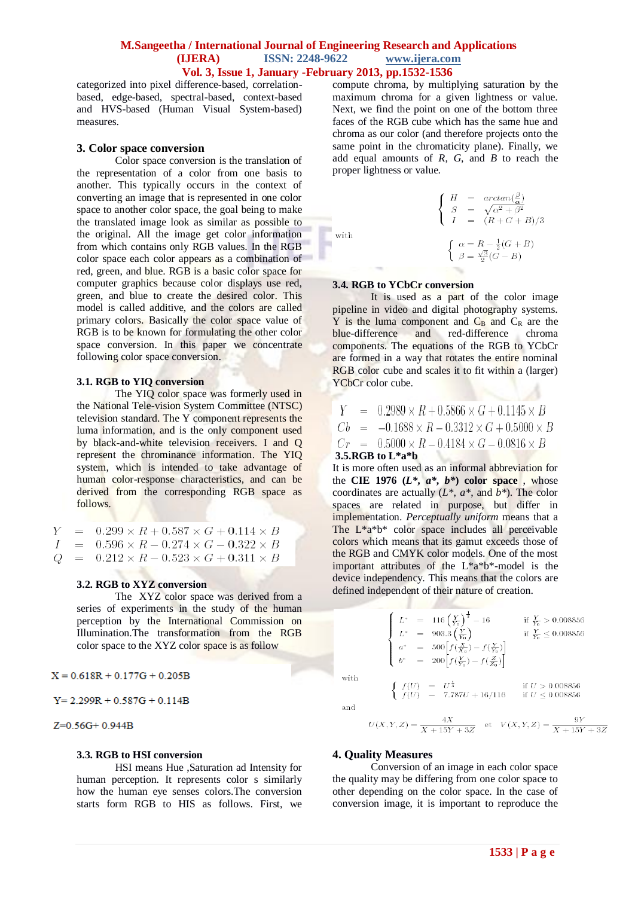categorized into pixel difference-based, correlationbased, edge-based, spectral-based, context-based and HVS-based (Human Visual System-based) measures.

#### **3. Color space conversion**

Color space conversion is the translation of the representation of a color from one basis to another. This typically occurs in the context of converting an image that is represented in one color space to another color space, the goal being to make the translated image look as similar as possible to the original. All the image get color information from which contains only RGB values. In the RGB color space each color appears as a combination of red, green, and blue. RGB is a basic color space for computer graphics because color displays use red, green, and blue to create the desired color. This model is called additive, and the colors are called primary colors. Basically the color space value of RGB is to be known for formulating the other color space conversion. In this paper we concentrate following color space conversion.

#### **3.1. RGB to YIQ conversion**

The YIQ color space was formerly used in the National Tele-vision System Committee (NTSC) television standard. The Y component represents the [luma](http://en.wikipedia.org/wiki/Luminance_(video)) information, and is the only component used by black-and-white television receivers. I and Q represent the [chrominance](http://en.wikipedia.org/wiki/Chrominance) information. The YIQ system, which is intended to take advantage of human color-response characteristics, and can be derived from the corresponding RGB space as follows.

Y  $0.299 \times R + 0.587 \times G + 0.114 \times B$  $0.596 \times R - 0.274 \times G - 0.322 \times B$  $\overline{I}$  $0.212 \times R - 0.523 \times G + 0.311 \times B$ O  $\overline{\phantom{0}}$ 

#### **3.2. RGB to XYZ conversion**

The XYZ color space was derived from a series of experiments in the study of the human perception by the International Commission on Illumination.The transformation from the RGB color space to the XYZ color space is as follow

 $X = 0.618R + 0.177G + 0.205B$ 

 $Y = 2.299R + 0.587G + 0.114B$ 

 $Z=0.56G+0.944B$ 

#### **3.3. RGB to HSI conversion**

HSI means Hue ,Saturation ad Intensity for human perception. It represents color s similarly how the human eye senses colors.The conversion starts form RGB to HIS as follows. First, we

compute chroma, by multiplying saturation by the maximum chroma for a given lightness or value. Next, we find the point on one of the bottom three faces of the RGB cube which has the same hue and chroma as our color (and therefore projects onto the same point in the chromaticity plane). Finally, we add equal amounts of *R*, *G*, and *B* to reach the proper lightness or value.

with

 $\left\{ \begin{array}{rcl} H & = & \arctan(\frac{\beta}{\alpha}) \\ S & = & \sqrt{\alpha^2 + \beta^2} \\ I & = & (R + G + B)/3 \end{array} \right.$  $\left\{\n\begin{array}{l}\n\alpha = R - \frac{1}{2}(G + B) \\
\beta = \frac{\sqrt{3}}{2}(G - B)\n\end{array}\n\right.$ 

#### **3.4. RGB to YCbCr conversion**

It is used as a part of the color image pipeline in video and digital photography systems. Y is the luma component and  $C_B$  and  $C_R$  are the blue-difference and red-difference chroma and red-difference chroma components. The equations of the RGB to YCbCr are formed in a way that rotates the entire nominal RGB color cube and scales it to fit within a (larger) YCbCr color cube.

|  | $Y = 0.2989 \times R + 0.5866 \times G + 0.1145 \times B$   |
|--|-------------------------------------------------------------|
|  | $Cb = -0.1688 \times R - 0.3312 \times G + 0.5000 \times B$ |
|  | $Cr = 0.5000 \times R - 0.4184 \times G - 0.0816 \times B$  |
|  | 3.5. $RGB$ to $L*$ a <sup>*</sup> b                         |

It is more often used as an informal abbreviation for the **CIE 1976**  $(L^*, a^*, b^*)$  color space, whose coordinates are actually (*L\**, *a\**, and *b\**). The color spaces are related in purpose, but differ in implementation. *Perceptually uniform* means that a The  $L^*a^*b^*$  color space includes all perceivable colors which means that its gamut exceeds those of the RGB and CMYK color models. One of the most important attributes of the L\*a\*b\*-model is the device independency. This means that the colors are defined independent of their nature of creation.

$$
\left\{ \begin{array}{ll} L^* & = & 116 \left( \frac{Y}{Y_0} \right)^{\frac{1}{3}} - 16 & \mbox{if} \ \frac{Y}{Y_0} > 0.008856 \\ L^* & = & 903.3 \left( \frac{Y}{Y_0} \right) & \mbox{if} \ \frac{Y}{Y_0} \leq 0.008856 \\ a^* & = & 500 \left[ f(\frac{X}{X_0}) - f(\frac{Y}{Y_0}) \right] \\ b^* & = & 200 \left[ f(\frac{Y}{Y_0}) - f(\frac{Z}{Z_0}) \right] \end{array} \right.
$$
\n
$$
\left\{ \begin{array}{ll} f(U) & = & U^{\frac{1}{3}} \\ f(U) & = & 7.787U + 16/116 & \mbox{if} \ U \leq 0.008856 \end{array} \right.
$$

and

with

$$
U(X,Y,Z) = \frac{4X}{X + 15Y + 3Z} \quad \text{et} \quad V(X,Y,Z) = \frac{9Y}{X + 15Y + 3Z}
$$

#### **4. Quality Measures**

Conversion of an image in each color space the quality may be differing from one color space to other depending on the color space. In the case of conversion image, it is important to reproduce the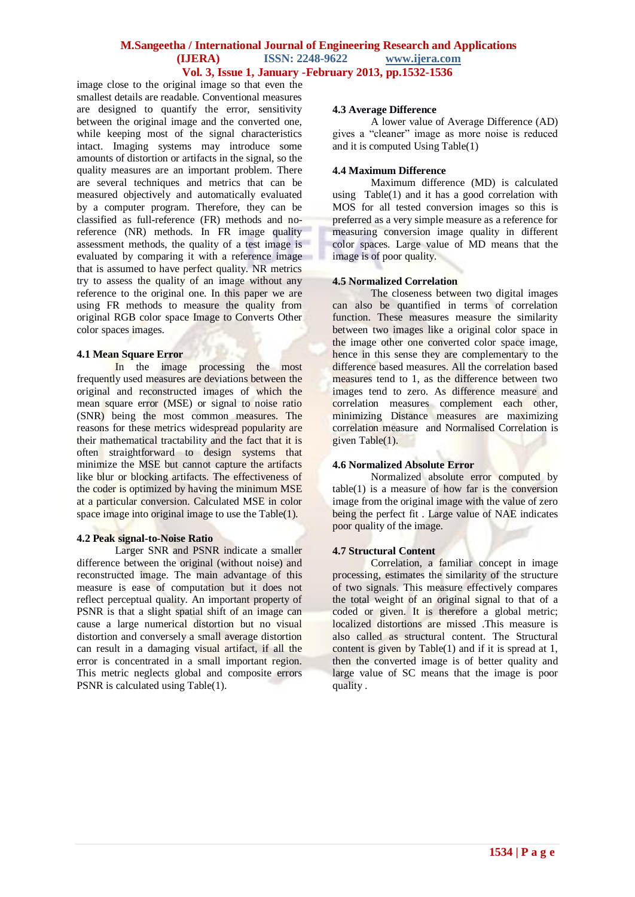image close to the original image so that even the smallest details are readable. Conventional measures are designed to quantify the error, sensitivity between the original image and the converted one, while keeping most of the signal characteristics intact. Imaging systems may introduce some amounts of distortion or artifacts in the signal, so the quality measures are an important problem. There are several techniques and metrics that can be measured objectively and automatically evaluated by a computer program. Therefore, they can be classified as full-reference (FR) methods and noreference (NR) methods. In FR image quality assessment methods, the quality of a test image is evaluated by comparing it with a reference image that is assumed to have perfect quality. NR metrics try to assess the quality of an image without any reference to the original one. In this paper we are using FR methods to measure the quality from original RGB color space Image to Converts Other color spaces images.

#### **4.1 Mean Square Error**

In the image processing the most frequently used measures are deviations between the original and reconstructed images of which the mean square error (MSE) or signal to noise ratio (SNR) being the most common measures. The reasons for these metrics widespread popularity are their mathematical tractability and the fact that it is often straightforward to design systems that minimize the MSE but cannot capture the artifacts like blur or blocking artifacts. The effectiveness of the coder is optimized by having the minimum MSE at a particular conversion. Calculated MSE in color space image into original image to use the Table(1).

#### **4.2 Peak signal-to-Noise Ratio**

Larger SNR and PSNR indicate a smaller difference between the original (without noise) and reconstructed image. The main advantage of this measure is ease of computation but it does not reflect perceptual quality. An important property of PSNR is that a slight spatial shift of an image can cause a large numerical distortion but no visual distortion and conversely a small average distortion can result in a damaging visual artifact, if all the error is concentrated in a small important region. This metric neglects global and composite errors PSNR is calculated using Table(1).

#### **4.3 Average Difference**

A lower value of Average Difference (AD) gives a "cleaner" image as more noise is reduced and it is computed Using Table(1)

#### **4.4 Maximum Difference**

Maximum difference (MD) is calculated using Table(1) and it has a good correlation with MOS for all tested conversion images so this is preferred as a very simple measure as a reference for measuring conversion image quality in different color spaces. Large value of MD means that the image is of poor quality.

#### **4.5 Normalized Correlation**

The closeness between two digital images can also be quantified in terms of correlation function. These measures measure the similarity between two images like a original color space in the image other one converted color space image, hence in this sense they are complementary to the difference based measures. All the correlation based measures tend to 1, as the difference between two images tend to zero. As difference measure and correlation measures complement each other, minimizing Distance measures are maximizing correlation measure and Normalised Correlation is given Table(1).

## **4.6 Normalized Absolute Error**

Normalized absolute error computed by  $table(1)$  is a measure of how far is the conversion image from the original image with the value of zero being the perfect fit. Large value of NAE indicates poor quality of the image.

## **4.7 Structural Content**

Correlation, a familiar concept in image processing, estimates the similarity of the structure of two signals. This measure effectively compares the total weight of an original signal to that of a coded or given. It is therefore a global metric; localized distortions are missed .This measure is also called as structural content. The Structural content is given by Table(1) and if it is spread at 1, then the converted image is of better quality and large value of SC means that the image is poor quality .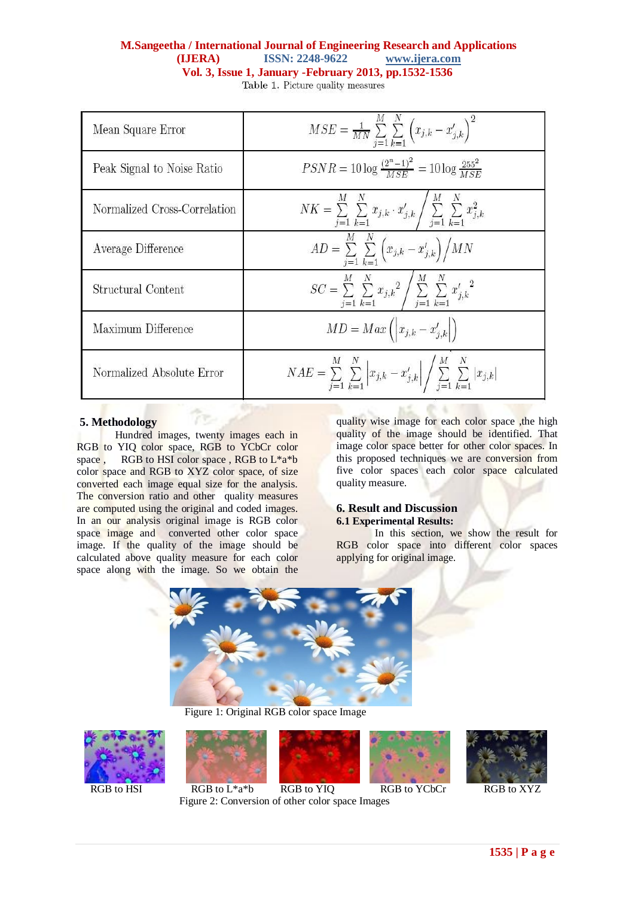| Mean Square Error            | $MSE = \frac{1}{MN} \sum_{i=1}^{M} \sum_{k=1}^{N} (x_{j,k} - x'_{j,k})^2$                                                      |
|------------------------------|--------------------------------------------------------------------------------------------------------------------------------|
| Peak Signal to Noise Ratio   | $PSNR = 10 \log \frac{(2^n-1)^2}{MSE} = 10 \log \frac{255^2}{MSE}$                                                             |
| Normalized Cross-Correlation | $NK = \sum_{j=1}^{M}\,\sum_{k=1}^{N}\,x_{j,k}\cdot x_{j,k}^{\prime}\Bigg/\sum_{j=1}^{M}\,\sum_{k=1}^{N}\,x_{j,k}^{2}$          |
| Average Difference           | $AD = \sum_{j=1}^{M} \sum_{k=1}^{N} (x_{j,k} - x'_{j,k}) / MN$                                                                 |
| Structural Content           | $SC = \sum_{j=1}^{M} \sum_{k=1}^{N} x_{j,k}^2 \Bigg/ \sum_{j=1}^{M} \sum_{k=1}^{N} {x'_{j,k}}^2$                               |
| Maximum Difference           | $MD = Max\left(\left x_{j,k} - x'_{j,k}\right \right)$                                                                         |
| Normalized Absolute Error    | $NAE = \sum_{i=1}^{M} \sum_{k=1}^{N} \left  x_{j,k} - x'_{j,k} \right  / \sum_{i=1}^{M} \sum_{k=1}^{N} \left  x_{j,k} \right $ |

## **5. Methodology**

Hundred images, twenty images each in RGB to YIQ color space, RGB to YCbCr color space, RGB to HSI color space, RGB to L\*a\*b color space and RGB to XYZ color space, of size converted each image equal size for the analysis. The conversion ratio and other quality measures are computed using the original and coded images. In an our analysis original image is RGB color space image and converted other color space image. If the quality of the image should be calculated above quality measure for each color space along with the image. So we obtain the

quality wise image for each color space, the high quality of the image should be identified. That image color space better for other color spaces. In this proposed techniques we are conversion from five color spaces each color space calculated quality measure.

#### **6. Result and Discussion 6.1 Experimental Results:**

In this section, we show the result for RGB color space into different color spaces applying for original image.



Figure 1: Original RGB color space Image







RGB to HSI RGB to  $L^*a^*b$  RGB to YIQ RGB to YCbCr RGB to XYZ Figure 2: Conversion of other color space Images